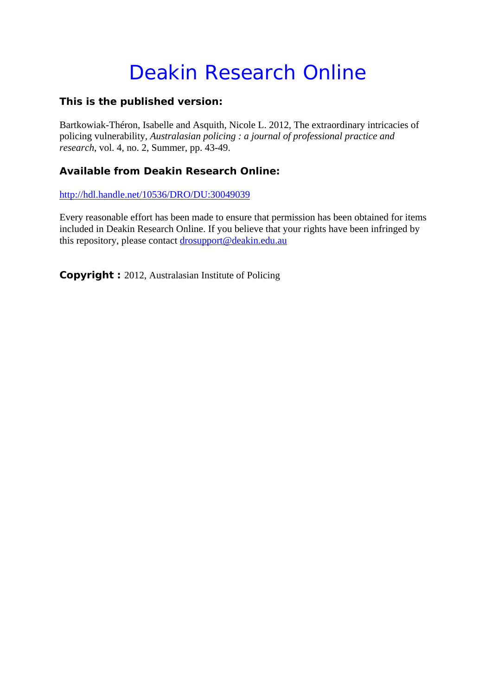## Deakin Research Online

## **This is the published version:**

Bartkowiak-Théron, Isabelle and Asquith, Nicole L. 2012, The extraordinary intricacies of policing vulnerability*, Australasian policing : a journal of professional practice and research*, vol. 4, no. 2, Summer, pp. 43-49.

## **Available from Deakin Research Online:**

http://hdl.handle.net/10536/DRO/DU:30049039

Every reasonable effort has been made to ensure that permission has been obtained for items included in Deakin Research Online. If you believe that your rights have been infringed by this repository, please contact drosupport@deakin.edu.au

**Copyright :** 2012, Australasian Institute of Policing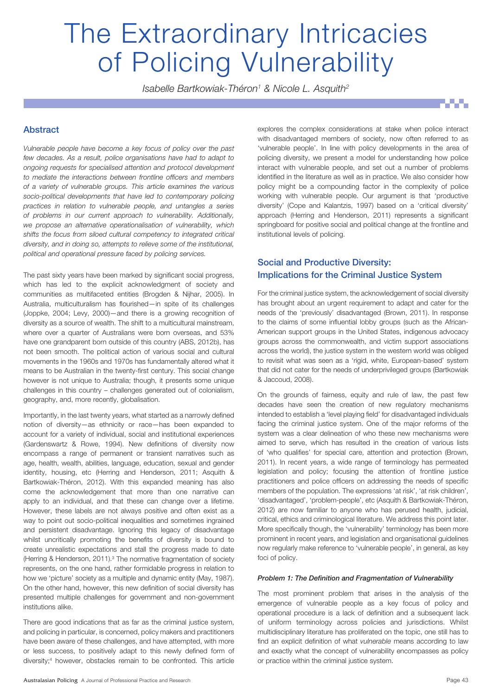# The Extraordinary Intricacies of Policing Vulnerability

*Isabelle Bartkowiak-Théron1 & Nicole L. Asquith2*

#### Abstract

*Vulnerable people have become a key focus of policy over the past few decades. As a result, police organisations have had to adapt to ongoing requests for specialised attention and protocol development to mediate the interactions between frontline officers and members of a variety of vulnerable groups. This article examines the various socio-political developments that have led to contemporary policing practices in relation to vulnerable people, and untangles a series of problems in our current approach to vulnerability. Additionally, we propose an alternative operationalisation of vulnerability, which shifts the focus from siloed cultural competency to integrated critical diversity, and in doing so, attempts to relieve some of the institutional, political and operational pressure faced by policing services.*

The past sixty years have been marked by significant social progress, which has led to the explicit acknowledgment of society and communities as multifaceted entities (Brogden & Nijhar, 2005). In Australia, multiculturalism has flourished—in spite of its challenges (Joppke, 2004; Levy, 2000)—and there is a growing recognition of diversity as a source of wealth. The shift to a multicultural mainstream, where over a quarter of Australians were born overseas, and 53% have one grandparent born outside of this country (ABS, 2012b), has not been smooth. The political action of various social and cultural movements in the 1960s and 1970s has fundamentally altered what it means to be Australian in the twenty-first century. This social change however is not unique to Australia; though, it presents some unique challenges in this country – challenges generated out of colonialism, geography, and, more recently, globalisation.

Importantly, in the last twenty years, what started as a narrowly defined notion of diversity—as ethnicity or race—has been expanded to account for a variety of individual, social and institutional experiences (Gardenswartz & Rowe, 1994). New definitions of diversity now encompass a range of permanent or transient narratives such as age, health, wealth, abilities, language, education, sexual and gender identity, housing, etc (Herring and Henderson, 2011; Asquith & Bartkowiak-Théron, 2012). With this expanded meaning has also come the acknowledgement that more than one narrative can apply to an individual, and that these can change over a lifetime. However, these labels are not always positive and often exist as a way to point out socio-political inequalities and sometimes ingrained and persistent disadvantage. Ignoring this legacy of disadvantage whilst uncritically promoting the benefits of diversity is bound to create unrealistic expectations and stall the progress made to date (Herring & Henderson, 2011).<sup>3</sup> The normative fragmentation of society represents, on the one hand, rather formidable progress in relation to how we 'picture' society as a multiple and dynamic entity (May, 1987). On the other hand, however, this new definition of social diversity has presented multiple challenges for government and non-government institutions alike.

There are good indications that as far as the criminal justice system, and policing in particular, is concerned, policy makers and practitioners have been aware of these challenges, and have attempted, with more or less success, to positively adapt to this newly defined form of diversity;<sup>4</sup> however, obstacles remain to be confronted. This article

Australasian Policing A Journal of Professional Practice and Research **Page 13** Australiasian Page 43

explores the complex considerations at stake when police interact with disadvantaged members of society, now often referred to as 'vulnerable people'. In line with policy developments in the area of policing diversity, we present a model for understanding how police interact with vulnerable people, and set out a number of problems identified in the literature as well as in practice. We also consider how policy might be a compounding factor in the complexity of police working with vulnerable people. Our argument is that 'productive diversity' (Cope and Kalantzis, 1997) based on a 'critical diversity' approach (Herring and Henderson, 2011) represents a significant springboard for positive social and political change at the frontline and institutional levels of policing.

### Social and Productive Diversity: Implications for the Criminal Justice System

For the criminal justice system, the acknowledgement of social diversity has brought about an urgent requirement to adapt and cater for the needs of the 'previously' disadvantaged (Brown, 2011). In response to the claims of some influential lobby groups (such as the African-American support groups in the United States, indigenous advocacy groups across the commonwealth, and victim support associations across the world), the justice system in the western world was obliged to revisit what was seen as a 'rigid, white, European-based' system that did not cater for the needs of underprivileged groups (Bartkowiak & Jaccoud, 2008).

On the grounds of fairness, equity and rule of law, the past few decades have seen the creation of new regulatory mechanisms intended to establish a 'level playing field' for disadvantaged individuals facing the criminal justice system. One of the major reforms of the system was a clear delineation of who these new mechanisms were aimed to serve, which has resulted in the creation of various lists of 'who qualifies' for special care, attention and protection (Brown, 2011). In recent years, a wide range of terminology has permeated legislation and policy; focusing the attention of frontline justice practitioners and police officers on addressing the needs of specific members of the population. The expressions 'at risk', 'at risk children', 'disadvantaged', 'problem-people', etc (Asquith & Bartkowiak-Théron, 2012) are now familiar to anyone who has perused health, judicial, critical, ethics and criminological literature. We address this point later. More specifically though, the 'vulnerability' terminology has been more prominent in recent years, and legislation and organisational guidelines now regularly make reference to 'vulnerable people', in general, as key foci of policy.

#### *Problem 1: The Definition and Fragmentation of Vulnerability*

The most prominent problem that arises in the analysis of the emergence of vulnerable people as a key focus of policy and operational procedure is a lack of definition and a subsequent lack of uniform terminology across policies and jurisdictions. Whilst multidisciplinary literature has proliferated on the topic, one still has to find an explicit definition of what *vulnerable* means according to law and exactly what the concept of vulnerability encompasses as policy or practice within the criminal justice system.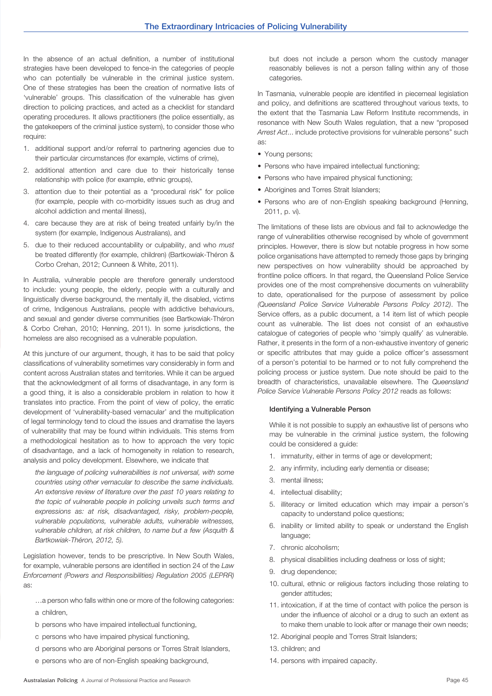In the absence of an actual definition, a number of institutional strategies have been developed to fence-in the categories of people who can potentially be vulnerable in the criminal justice system. One of these strategies has been the creation of normative lists of 'vulnerable' groups. This classification of the vulnerable has given direction to policing practices, and acted as a checklist for standard operating procedures. It allows practitioners (the police essentially, as the gatekeepers of the criminal justice system), to consider those who require:

- 1. additional support and/or referral to partnering agencies due to their particular circumstances (for example, victims of crime),
- 2. additional attention and care due to their historically tense relationship with police (for example, ethnic groups),
- 3. attention due to their potential as a "procedural risk" for police (for example, people with co-morbidity issues such as drug and alcohol addiction and mental illness),
- 4. care because they are at risk of being treated unfairly by/in the system (for example, Indigenous Australians), and
- 5. due to their reduced accountability or culpability, and who *must*  be treated differently (for example, children) (Bartkowiak-Théron & Corbo Crehan, 2012; Cunneen & White, 2011).

In Australia, vulnerable people are therefore generally understood to include: young people, the elderly, people with a culturally and linguistically diverse background, the mentally ill, the disabled, victims of crime, Indigenous Australians, people with addictive behaviours, and sexual and gender diverse communities (see Bartkowiak-Théron & Corbo Crehan, 2010; Henning, 2011). In some jurisdictions, the homeless are also recognised as a vulnerable population.

At this juncture of our argument, though, it has to be said that policy classifications of vulnerability sometimes vary considerably in form and content across Australian states and territories. While it can be argued that the acknowledgment of all forms of disadvantage, in any form is a good thing, it is also a considerable problem in relation to how it translates into practice. From the point of view of policy, the erratic development of 'vulnerability-based vernacular' and the multiplication of legal terminology tend to cloud the issues and dramatise the layers of vulnerability that may be found within individuals. This stems from a methodological hesitation as to how to approach the very topic of disadvantage, and a lack of homogeneity in relation to research, analysis and policy development. Elsewhere, we indicate that

*the language of policing vulnerabilities is not universal, with some countries using other vernacular to describe the same individuals. An extensive review of literature over the past 10 years relating to the topic of vulnerable people in policing unveils such terms and expressions as: at risk, disadvantaged, risky, problem-people, vulnerable populations, vulnerable adults, vulnerable witnesses, vulnerable children, at risk children, to name but a few (Asquith & Bartkowiak-Théron, 2012, 5).*

Legislation however, tends to be prescriptive. In New South Wales, for example, vulnerable persons are identified in section 24 of the *Law Enforcement (Powers and Responsibilities) Regulation 2005 (LEPRR)* as:

- …a person who falls within one or more of the following categories: a children,
- b persons who have impaired intellectual functioning,
- c persons who have impaired physical functioning,
- d persons who are Aboriginal persons or Torres Strait Islanders,
- e persons who are of non-English speaking background,

but does not include a person whom the custody manager reasonably believes is not a person falling within any of those categories.

In Tasmania, vulnerable people are identified in piecemeal legislation and policy, and definitions are scattered throughout various texts, to the extent that the Tasmania Law Reform Institute recommends, in resonance with New South Wales regulation, that a new "proposed *Arrest Act*... include protective provisions for vulnerable persons" such as:

- Young persons:
- Persons who have impaired intellectual functioning;
- Persons who have impaired physical functioning;
- Aborigines and Torres Strait Islanders;
- Persons who are of non-English speaking background (Henning, 2011, p. vi).

The limitations of these lists are obvious and fail to acknowledge the range of vulnerabilities otherwise recognised by whole of government principles. However, there is slow but notable progress in how some police organisations have attempted to remedy those gaps by bringing new perspectives on how vulnerability should be approached by frontline police officers. In that regard, the Queensland Police Service provides one of the most comprehensive documents on vulnerability to date, operationalised for the purpose of assessment by police *(Queensland Police Service Vulnerable Persons Policy 2012)*. The Service offers, as a public document, a 14 item list of which people count as vulnerable. The list does not consist of an exhaustive catalogue of categories of people who 'simply qualify' as vulnerable. Rather, it presents in the form of a non-exhaustive inventory of generic or specific attributes that may guide a police officer's assessment of a person's potential to be harmed or to not fully comprehend the policing process or justice system. Due note should be paid to the breadth of characteristics, unavailable elsewhere. The *Queensland Police Service Vulnerable Persons Policy 2012* reads as follows:

#### Identifying a Vulnerable Person

While it is not possible to supply an exhaustive list of persons who may be vulnerable in the criminal justice system, the following could be considered a guide:

- 1. immaturity, either in terms of age or development;
- 2. any infirmity, including early dementia or disease;
- 3. mental illness;
- 4. intellectual disability;
- 5. illiteracy or limited education which may impair a person's capacity to understand police questions;
- 6. inability or limited ability to speak or understand the English language;
- 7. chronic alcoholism;
- 8. physical disabilities including deafness or loss of sight;
- 9. drug dependence;
- 10. cultural, ethnic or religious factors including those relating to gender attitudes;
- 11. intoxication, if at the time of contact with police the person is under the influence of alcohol or a drug to such an extent as to make them unable to look after or manage their own needs;
- 12. Aboriginal people and Torres Strait Islanders;
- 13. children; and
- 14. persons with impaired capacity.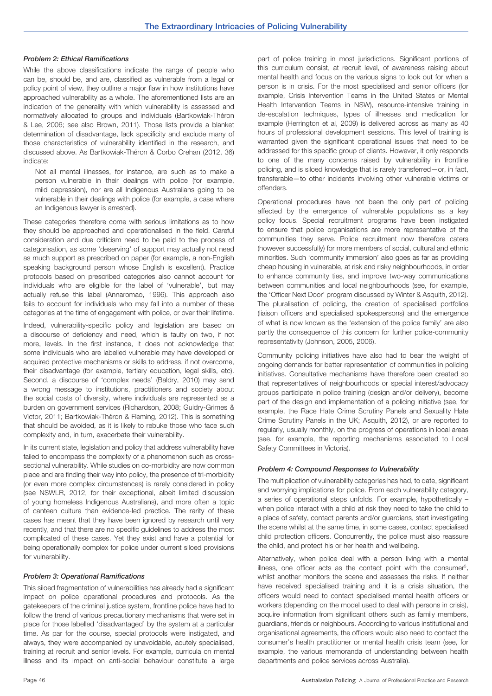#### *Problem 2: Ethical Ramifications*

While the above classifications indicate the range of people who can be, should be, and are, classified as vulnerable from a legal or policy point of view, they outline a major flaw in how institutions have approached vulnerability as a whole. The aforementioned lists are an indication of the generality with which vulnerability is assessed and normatively allocated to groups and individuals (Bartkowiak-Théron & Lee, 2006; see also Brown, 2011). Those lists provide a blanket determination of disadvantage, lack specificity and exclude many of those characteristics of vulnerability identified in the research, and discussed above. As Bartkowiak-Théron & Corbo Crehan (2012, 36) indicate:

Not all mental illnesses, for instance, are such as to make a person vulnerable in their dealings with police (for example, mild depression), nor are all Indigenous Australians going to be vulnerable in their dealings with police (for example, a case where an Indigenous lawyer is arrested).

These categories therefore come with serious limitations as to how they should be approached and operationalised in the field. Careful consideration and due criticism need to be paid to the process of categorisation, as some 'deserving' of support may actually not need as much support as prescribed on paper (for example, a non-English speaking background person whose English is excellent). Practice protocols based on prescribed categories also cannot account for individuals who are eligible for the label of 'vulnerable', but may actually refuse this label (Annaromao, 1996). This approach also fails to account for individuals who may fall into a number of these categories at the time of engagement with police, or over their lifetime.

Indeed, vulnerability-specific policy and legislation are based on a discourse of deficiency and need, which is faulty on two, if not more, levels. In the first instance, it does not acknowledge that some individuals who are labelled vulnerable may have developed or acquired protective mechanisms or skills to address, if not overcome, their disadvantage (for example, tertiary education, legal skills, etc). Second, a discourse of 'complex needs' (Baldry, 2010) may send a wrong message to institutions, practitioners and society about the social costs of diversity, where individuals are represented as a burden on government services (Richardson, 2008; Guidry-Grimes & Victor, 2011; Bartkowiak-Théron & Fleming, 2012). This is something that should be avoided, as it is likely to rebuke those who face such complexity and, in turn, exacerbate their vulnerability.

In its current state, legislation and policy that address vulnerability have failed to encompass the complexity of a phenomenon such as crosssectional vulnerability. While studies on co-morbidity are now common place and are finding their way into policy, the presence of tri-morbidity (or even more complex circumstances) is rarely considered in policy (see NSWLR, 2012, for their exceptional, albeit limited discussion of young homeless Indigenous Australians), and more often a topic of canteen culture than evidence-led practice. The rarity of these cases has meant that they have been ignored by research until very recently, and that there are no specific guidelines to address the most complicated of these cases. Yet they exist and have a potential for being operationally complex for police under current siloed provisions for vulnerability.

#### *Problem 3: Operational Ramifications*

This siloed fragmentation of vulnerabilities has already had a significant impact on police operational procedures and protocols. As the gatekeepers of the criminal justice system, frontline police have had to follow the trend of various precautionary mechanisms that were set in place for those labelled 'disadvantaged' by the system at a particular time. As par for the course, special protocols were instigated, and always, they were accompanied by unavoidable, acutely specialised, training at recruit and senior levels. For example, curricula on mental illness and its impact on anti-social behaviour constitute a large

part of police training in most jurisdictions. Significant portions of this curriculum consist, at recruit level, of awareness raising about mental health and focus on the various signs to look out for when a person is in crisis. For the most specialised and senior officers (for example, Crisis Intervention Teams in the United States or Mental Health Intervention Teams in NSW), resource-intensive training in de-escalation techniques, types of illnesses and medication for example (Herrington et al, 2009) is delivered across as many as 40 hours of professional development sessions. This level of training is warranted given the significant operational issues that need to be addressed for this specific group of clients. However, it only responds to one of the many concerns raised by vulnerability in frontline policing, and is siloed knowledge that is rarely transferred—or, in fact, transferable—to other incidents involving other vulnerable victims or offenders.

Operational procedures have not been the only part of policing affected by the emergence of vulnerable populations as a key policy focus. Special recruitment programs have been instigated to ensure that police organisations are more representative of the communities they serve. Police recruitment now therefore caters (however successfully) for more members of social, cultural and ethnic minorities. Such 'community immersion' also goes as far as providing cheap housing in vulnerable, at risk and risky neighbourhoods, in order to enhance community ties, and improve two-way communications between communities and local neighbourhoods (see, for example, the 'Officer Next Door' program discussed by Winter & Asquith, 2012). The pluralisation of policing, the creation of specialised portfolios (liaison officers and specialised spokespersons) and the emergence of what is now known as the 'extension of the police family' are also partly the consequence of this concern for further police-community representativity (Johnson, 2005, 2006).

Community policing initiatives have also had to bear the weight of ongoing demands for better representation of communities in policing initiatives. Consultative mechanisms have therefore been created so that representatives of neighbourhoods or special interest/advocacy groups participate in police training (design and/or delivery), become part of the design and implementation of a policing initiative (see, for example, the Race Hate Crime Scrutiny Panels and Sexuality Hate Crime Scrutiny Panels in the UK; Asquith, 2012), or are reported to regularly, usually monthly, on the progress of operations in local areas (see, for example, the reporting mechanisms associated to Local Safety Committees in Victoria).

#### *Problem 4: Compound Responses to Vulnerability*

The multiplication of vulnerability categories has had, to date, significant and worrying implications for police. From each vulnerability category, a series of operational steps unfolds. For example, hypothetically – when police interact with a child at risk they need to take the child to a place of safety, contact parents and/or guardians, start investigating the scene whilst at the same time, in some cases, contact specialised child protection officers. Concurrently, the police must also reassure the child, and protect his or her health and wellbeing.

Alternatively, when police deal with a person living with a mental illness, one officer acts as the contact point with the consumer<sup>5</sup>, whilst another monitors the scene and assesses the risks. If neither have received specialised training and it is a crisis situation, the officers would need to contact specialised mental health officers or workers (depending on the model used to deal with persons in crisis), acquire information from significant others such as family members, guardians, friends or neighbours. According to various institutional and organisational agreements, the officers would also need to contact the consumer's health practitioner or mental health crisis team (see, for example, the various memoranda of understanding between health departments and police services across Australia).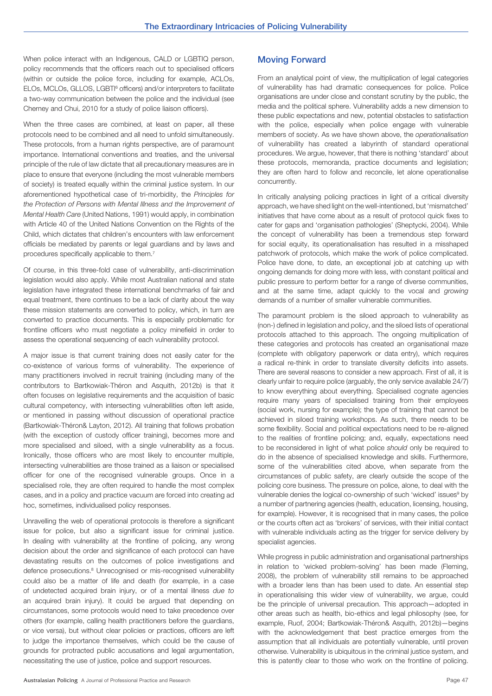When police interact with an Indigenous, CALD or LGBTIQ person, policy recommends that the officers reach out to specialised officers (within or outside the police force, including for example, ACLOs, ELOs, MCLOs, GLLOS, LGBT<sup>6</sup> officers) and/or interpreters to facilitate a two-way communication between the police and the individual (see Cherney and Chui, 2010 for a study of police liaison officers).

When the three cases are combined, at least on paper, all these protocols need to be combined and all need to unfold simultaneously. These protocols, from a human rights perspective, are of paramount importance. International conventions and treaties, and the universal principle of the rule of law dictate that all precautionary measures are in place to ensure that everyone (including the most vulnerable members of society) is treated equally within the criminal justice system. In our aforementioned hypothetical case of tri-morbidity, the *Principles for the Protection of Persons with Mental Illness and the Improvement of Mental Health Care* (United Nations, 1991) would apply, in combination with Article 40 of the United Nations Convention on the Rights of the Child, which dictates that children's encounters with law enforcement officials be mediated by parents or legal guardians and by laws and procedures specifically applicable to them.7

Of course, in this three-fold case of vulnerability, anti-discrimination legislation would also apply. While most Australian national and state legislation have integrated these international benchmarks of fair and equal treatment, there continues to be a lack of clarity about the way these mission statements are converted to policy, which, in turn are converted to practice documents. This is especially problematic for frontline officers who must negotiate a policy minefield in order to assess the operational sequencing of each vulnerability protocol.

A major issue is that current training does not easily cater for the co-existence of various forms of vulnerability. The experience of many practitioners involved in recruit training (including many of the contributors to Bartkowiak-Théron and Asquith, 2012b) is that it often focuses on legislative requirements and the acquisition of basic cultural competency, with intersecting vulnerabilities often left aside, or mentioned in passing without discussion of operational practice (Bartkowiak-Théron& Layton, 2012). All training that follows probation (with the exception of custody officer training), becomes more and more specialised and siloed, with a single vulnerability as a focus. Ironically, those officers who are most likely to encounter multiple, intersecting vulnerabilities are those trained as a liaison or specialised officer for one of the recognised vulnerable groups. Once in a specialised role, they are often required to handle the most complex cases, and in a policy and practice vacuum are forced into creating ad hoc, sometimes, individualised policy responses.

Unravelling the web of operational protocols is therefore a significant issue for police, but also a significant issue for criminal justice. In dealing with vulnerability at the frontline of policing, any wrong decision about the order and significance of each protocol can have devastating results on the outcomes of police investigations and defence prosecutions.<sup>8</sup> Unrecognised or mis-recognised vulnerability could also be a matter of life and death (for example, in a case of undetected acquired brain injury, or of a mental illness *due to* an acquired brain injury). It could be argued that depending on circumstances, some protocols would need to take precedence over others (for example, calling health practitioners before the guardians, or vice versa), but without clear policies or practices, officers are left to judge the importance themselves, which could be the cause of grounds for protracted public accusations and legal argumentation, necessitating the use of justice, police and support resources.

#### Moving Forward

From an analytical point of view, the multiplication of legal categories of vulnerability has had dramatic consequences for police. Police organisations are under close and constant scrutiny by the public, the media and the political sphere. Vulnerability adds a new dimension to these public expectations and new, potential obstacles to satisfaction with the police, especially when police engage with vulnerable members of society. As we have shown above, the *operationalisation*  of vulnerability has created a labyrinth of standard operational procedures. We argue, however, that there is nothing 'standard' about these protocols, memoranda, practice documents and legislation; they are often hard to follow and reconcile, let alone operationalise concurrently.

In critically analysing policing practices in light of a critical diversity approach, we have shed light on the well-intentioned, but 'mismatched' initiatives that have come about as a result of protocol quick fixes to cater for gaps and 'organisation pathologies' (Sheptycki, 2004). While the concept of vulnerability has been a tremendous step forward for social equity, its operationalisation has resulted in a misshaped patchwork of protocols, which make the work of police complicated. Police have done, to date, an exceptional job at catching up with ongoing demands for doing more with less, with constant political and public pressure to perform better for a range of diverse communities, and at the same time, adapt quickly to the vocal and *growing*  demands of a number of smaller vulnerable communities.

The paramount problem is the siloed approach to vulnerability as (non-) defined in legislation and policy, and the siloed lists of operational protocols attached to this approach. The ongoing multiplication of these categories and protocols has created an organisational maze (complete with obligatory paperwork or data entry), which requires a radical re-think in order to translate diversity deficits into assets. There are several reasons to consider a new approach. First of all, it is clearly unfair to require police (arguably, the only service available 24/7) to know everything about everything. Specialised cognate agencies require many years of specialised training from their employees (social work, nursing for example); the type of training that cannot be achieved in siloed training workshops. As such, there needs to be some flexibility. Social and political expectations need to be re-aligned to the realities of frontline policing; and, equally, expectations need to be reconsidered in light of what police *should* only be required to do in the absence of specialised knowledge and skills. Furthermore, some of the vulnerabilities cited above, when separate from the circumstances of public safety, are clearly outside the scope of the policing core business. The pressure on police, alone, to deal with the vulnerable denies the logical co-ownership of such 'wicked' issues<sup>9</sup> by a number of partnering agencies (health, education, licensing, housing, for example). However, it is recognised that in many cases, the police or the courts often act as 'brokers' of services, with their initial contact with vulnerable individuals acting as the trigger for service delivery by specialist agencies.

While progress in public administration and organisational partnerships in relation to 'wicked problem-solving' has been made (Fleming, 2008), the problem of vulnerability still remains to be approached with a broader lens than has been used to date. An essential step in operationalising this wider view of vulnerability, we argue, could be the principle of universal precaution. This approach—adopted in other areas such as health, bio-ethics and legal philosophy (see, for example, Ruof, 2004; Bartkowiak-Théron& Asquith, 2012b)—begins with the acknowledgement that best practice emerges from the assumption that all individuals are potentially vulnerable, until proven otherwise. Vulnerability is ubiquitous in the criminal justice system, and this is patently clear to those who work on the frontline of policing.